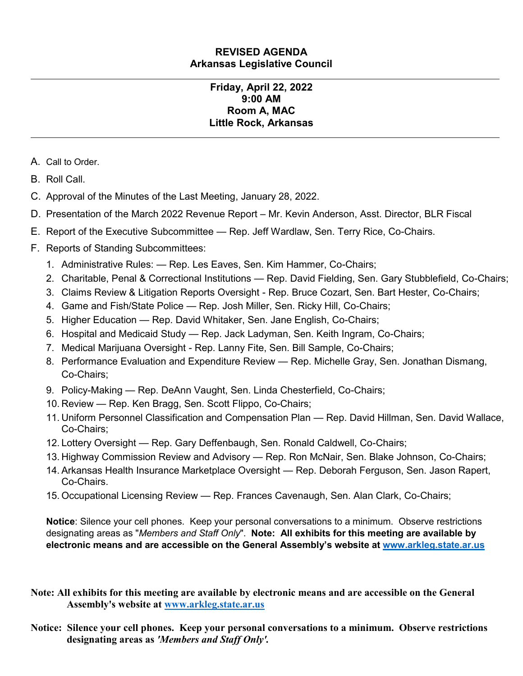#### **REVISED AGENDA Arkansas Legislative Council**

#### **Friday, April 22, 2022 9:00 AM Room A, MAC Little Rock, Arkansas**

- A. Call to Order.
- B. Roll Call.
- C. Approval of the Minutes of the Last Meeting, January 28, 2022.
- D. Presentation of the March 2022 Revenue Report Mr. Kevin Anderson, Asst. Director, BLR Fiscal
- E. Report of the Executive Subcommittee Rep. Jeff Wardlaw, Sen. Terry Rice, Co-Chairs.
- F. Reports of Standing Subcommittees:
	- 1. Administrative Rules: Rep. Les Eaves, Sen. Kim Hammer, Co-Chairs;
	- 2. Charitable, Penal & Correctional Institutions Rep. David Fielding, Sen. Gary Stubblefield, Co-Chairs;
	- 3. Claims Review & Litigation Reports Oversight Rep. Bruce Cozart, Sen. Bart Hester, Co-Chairs;
	- 4. Game and Fish/State Police Rep. Josh Miller, Sen. Ricky Hill, Co-Chairs;
	- 5. Higher Education Rep. David Whitaker, Sen. Jane English, Co-Chairs;
	- 6. Hospital and Medicaid Study Rep. Jack Ladyman, Sen. Keith Ingram, Co-Chairs;
	- 7. Medical Marijuana Oversight Rep. Lanny Fite, Sen. Bill Sample, Co-Chairs;
	- 8. Performance Evaluation and Expenditure Review Rep. Michelle Gray, Sen. Jonathan Dismang, Co-Chairs;
	- 9. Policy-Making Rep. DeAnn Vaught, Sen. Linda Chesterfield, Co-Chairs;
	- 10. Review Rep. Ken Bragg, Sen. Scott Flippo, Co-Chairs;
	- 11. Uniform Personnel Classification and Compensation Plan Rep. David Hillman, Sen. David Wallace, Co-Chairs;
	- 12. Lottery Oversight Rep. Gary Deffenbaugh, Sen. Ronald Caldwell, Co-Chairs;
	- 13. Highway Commission Review and Advisory Rep. Ron McNair, Sen. Blake Johnson, Co-Chairs;
	- 14. Arkansas Health Insurance Marketplace Oversight Rep. Deborah Ferguson, Sen. Jason Rapert, Co-Chairs.
	- 15. Occupational Licensing Review Rep. Frances Cavenaugh, Sen. Alan Clark, Co-Chairs;

**Notice**: Silence your cell phones. Keep your personal conversations to a minimum. Observe restrictions designating areas as "*Members and Staff Only*". **Note: All exhibits for this meeting are available by electronic means and are accessible on the General Assembly's website at [www.arkleg.state.ar.us](http://www.arkleg.state.ar.us/)**

- **Note: All exhibits for this meeting are available by electronic means and are accessible on the General Assembly's website at [www.arkleg.state.ar.us](http://www.arkleg.state.ar.us)**
- **Notice: Silence your cell phones. Keep your personal conversations to a minimum. Observe restrictions designating areas as** *'Members and Staff Only'.*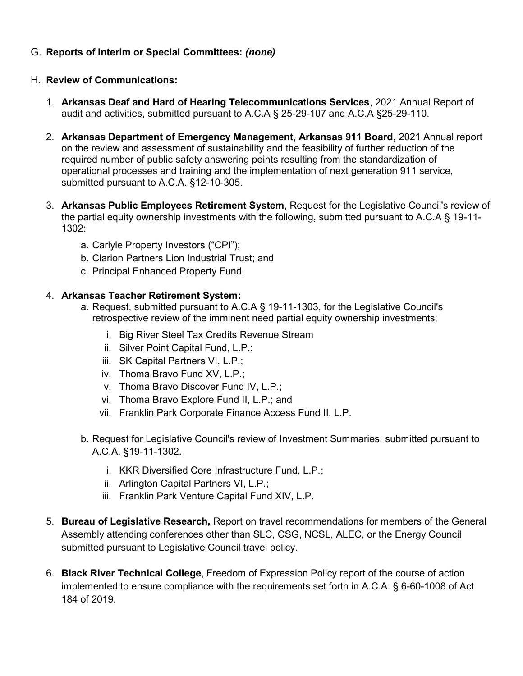## G. **Reports of Interim or Special Committees:** *(none)*

#### H. **Review of Communications:**

- 1. **Arkansas Deaf and Hard of Hearing Telecommunications Services**, 2021 Annual Report of audit and activities, submitted pursuant to A.C.A § 25-29-107 and A.C.A §25-29-110.
- 2. **Arkansas Department of Emergency Management, Arkansas 911 Board,** 2021 Annual report on the review and assessment of sustainability and the feasibility of further reduction of the required number of public safety answering points resulting from the standardization of operational processes and training and the implementation of next generation 911 service, submitted pursuant to A.C.A. §12-10-305.
- 3. **Arkansas Public Employees Retirement System**, Request for the Legislative Council's review of the partial equity ownership investments with the following, submitted pursuant to A.C.A § 19-11- 1302:
	- a. Carlyle Property Investors ("CPI");
	- b. Clarion Partners Lion Industrial Trust; and
	- c. Principal Enhanced Property Fund.

#### 4. **Arkansas Teacher Retirement System:**

- a. Request, submitted pursuant to A.C.A § 19-11-1303, for the Legislative Council's retrospective review of the imminent need partial equity ownership investments;
	- i. Big River Steel Tax Credits Revenue Stream
	- ii. Silver Point Capital Fund, L.P.;
	- iii. SK Capital Partners VI, L.P.;
	- iv. Thoma Bravo Fund XV, L.P.;
	- v. Thoma Bravo Discover Fund IV, L.P.;
	- vi. Thoma Bravo Explore Fund II, L.P.; and
	- vii. Franklin Park Corporate Finance Access Fund II, L.P.
- b. Request for Legislative Council's review of Investment Summaries, submitted pursuant to A.C.A. §19-11-1302.
	- i. KKR Diversified Core Infrastructure Fund, L.P.;
	- ii. Arlington Capital Partners VI, L.P.;
	- iii. Franklin Park Venture Capital Fund XIV, L.P.
- 5. **Bureau of Legislative Research,** Report on travel recommendations for members of the General Assembly attending conferences other than SLC, CSG, NCSL, ALEC, or the Energy Council submitted pursuant to Legislative Council travel policy.
- 6. **Black River Technical College**, Freedom of Expression Policy report of the course of action implemented to ensure compliance with the requirements set forth in A.C.A. § 6-60-1008 of Act 184 of 2019.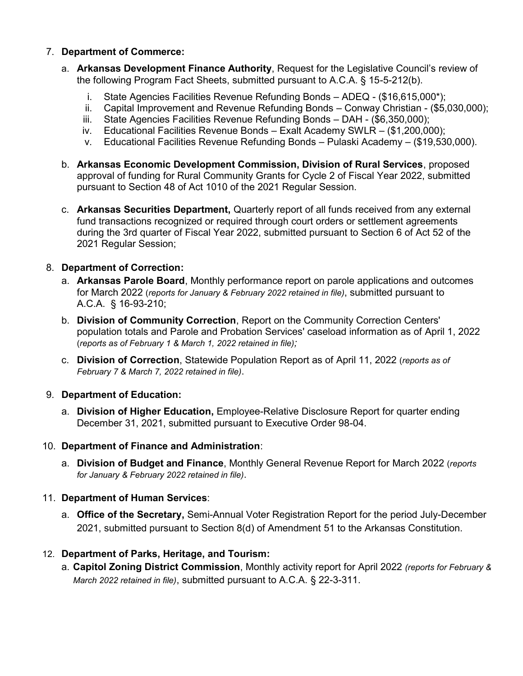### 7. **Department of Commerce:**

- a. **Arkansas Development Finance Authority**, Request for the Legislative Council's review of the following Program Fact Sheets, submitted pursuant to A.C.A. § 15-5-212(b).
	- i. State Agencies Facilities Revenue Refunding Bonds ADEQ (\$16,615,000\*);
	- ii. Capital Improvement and Revenue Refunding Bonds Conway Christian (\$5,030,000);
	- iii. State Agencies Facilities Revenue Refunding Bonds DAH (\$6,350,000);
	- iv. Educational Facilities Revenue Bonds Exalt Academy SWLR (\$1,200,000);
	- v. Educational Facilities Revenue Refunding Bonds Pulaski Academy (\$19,530,000).
- b. **Arkansas Economic Development Commission, Division of Rural Services**, proposed approval of funding for Rural Community Grants for Cycle 2 of Fiscal Year 2022, submitted pursuant to Section 48 of Act 1010 of the 2021 Regular Session.
- c. **Arkansas Securities Department,** Quarterly report of all funds received from any external fund transactions recognized or required through court orders or settlement agreements during the 3rd quarter of Fiscal Year 2022, submitted pursuant to Section 6 of Act 52 of the 2021 Regular Session;

## 8. **Department of Correction:**

- a. **Arkansas Parole Board**, Monthly performance report on parole applications and outcomes for March 2022 (*reports for January & February 2022 retained in file)*, submitted pursuant to A.C.A. § 16-93-210;
- b. **Division of Community Correction**, Report on the Community Correction Centers' population totals and Parole and Probation Services' caseload information as of April 1, 2022 (*reports as of February 1 & March 1, 2022 retained in file);*
- c. **Division of Correction**, Statewide Population Report as of April 11, 2022 (*reports as of February 7 & March 7, 2022 retained in file)*.

#### 9. **Department of Education:**

a. **Division of Higher Education,** Employee-Relative Disclosure Report for quarter ending December 31, 2021, submitted pursuant to Executive Order 98-04.

#### 10. **Department of Finance and Administration**:

a. **Division of Budget and Finance**, Monthly General Revenue Report for March 2022 (*reports for January & February 2022 retained in file)*.

# 11. **Department of Human Services**:

a. **Office of the Secretary,** Semi-Annual Voter Registration Report for the period July-December 2021, submitted pursuant to Section 8(d) of Amendment 51 to the Arkansas Constitution.

# 12. **Department of Parks, Heritage, and Tourism:**

a. **Capitol Zoning District Commission**, Monthly activity report for April 2022 *(reports for February & March 2022 retained in file)*, submitted pursuant to A.C.A. § 22-3-311.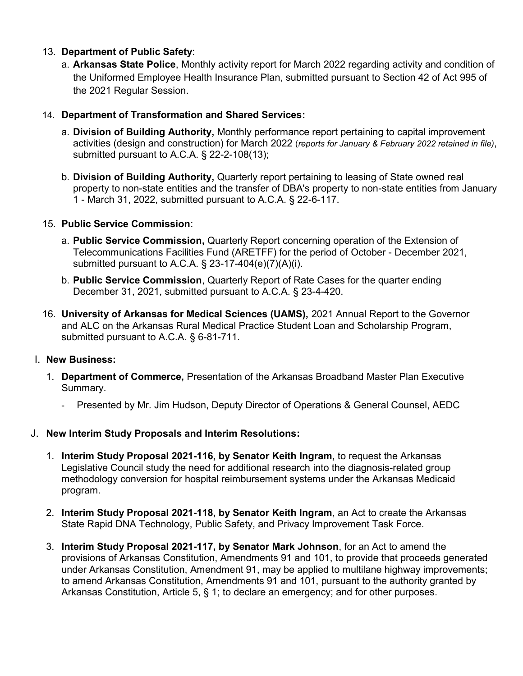### 13. **Department of Public Safety**:

a. **Arkansas State Police**, Monthly activity report for March 2022 regarding activity and condition of the Uniformed Employee Health Insurance Plan, submitted pursuant to Section 42 of Act 995 of the 2021 Regular Session.

#### 14. **Department of Transformation and Shared Services:**

- a. **Division of Building Authority,** Monthly performance report pertaining to capital improvement activities (design and construction) for March 2022 (*reports for January & February 2022 retained in file)*, submitted pursuant to A.C.A. § 22-2-108(13);
- b. **Division of Building Authority,** Quarterly report pertaining to leasing of State owned real property to non-state entities and the transfer of DBA's property to non-state entities from January 1 - March 31, 2022, submitted pursuant to A.C.A. § 22-6-117.

## 15. **Public Service Commission**:

- a. **Public Service Commission,** Quarterly Report concerning operation of the Extension of Telecommunications Facilities Fund (ARETFF) for the period of October - December 2021, submitted pursuant to A.C.A. § 23-17-404(e)(7)(A)(i).
- b. **Public Service Commission**, Quarterly Report of Rate Cases for the quarter ending December 31, 2021, submitted pursuant to A.C.A. § 23-4-420.
- 16. **University of Arkansas for Medical Sciences (UAMS),** 2021 Annual Report to the Governor and ALC on the Arkansas Rural Medical Practice Student Loan and Scholarship Program, submitted pursuant to A.C.A. § 6-81-711.

#### I. **New Business:**

- 1. **Department of Commerce,** Presentation of the Arkansas Broadband Master Plan Executive Summary.
	- Presented by Mr. Jim Hudson, Deputy Director of Operations & General Counsel, AEDC

#### J. **New Interim Study Proposals and Interim Resolutions:**

- 1. **Interim Study Proposal 2021-116, by Senator Keith Ingram,** to request the Arkansas Legislative Council study the need for additional research into the diagnosis-related group methodology conversion for hospital reimbursement systems under the Arkansas Medicaid program.
- 2. **Interim Study Proposal 2021-118, by Senator Keith Ingram**, an Act to create the Arkansas State Rapid DNA Technology, Public Safety, and Privacy Improvement Task Force.
- 3. **Interim Study Proposal 2021-117, by Senator Mark Johnson**, for an Act to amend the provisions of Arkansas Constitution, Amendments 91 and 101, to provide that proceeds generated under Arkansas Constitution, Amendment 91, may be applied to multilane highway improvements; to amend Arkansas Constitution, Amendments 91 and 101, pursuant to the authority granted by Arkansas Constitution, Article 5, § 1; to declare an emergency; and for other purposes.